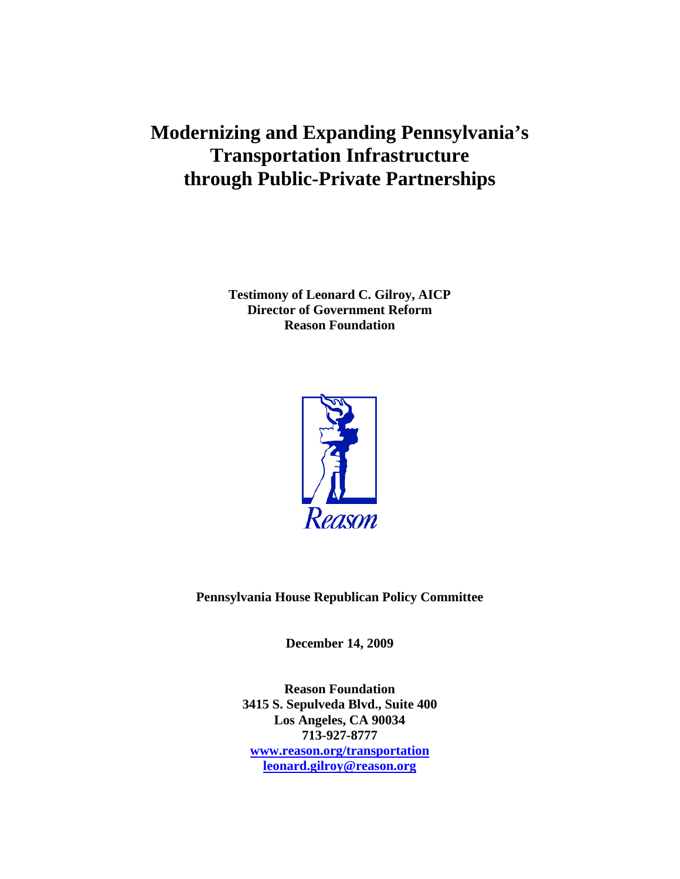# **Modernizing and Expanding Pennsylvania's Transportation Infrastructure through Public-Private Partnerships**

**Testimony of Leonard C. Gilroy, AICP Director of Government Reform Reason Foundation**



**Pennsylvania House Republican Policy Committee**

**December 14, 2009**

**Reason Foundation 3415 S. Sepulveda Blvd., Suite 400 Los Angeles, CA 90034 713-927-8777 [www.reason.org/transportation](http://www.reason.org/transportation) [leonard.gilroy@reason.org](mailto:leonard.gilroy@reason.org)**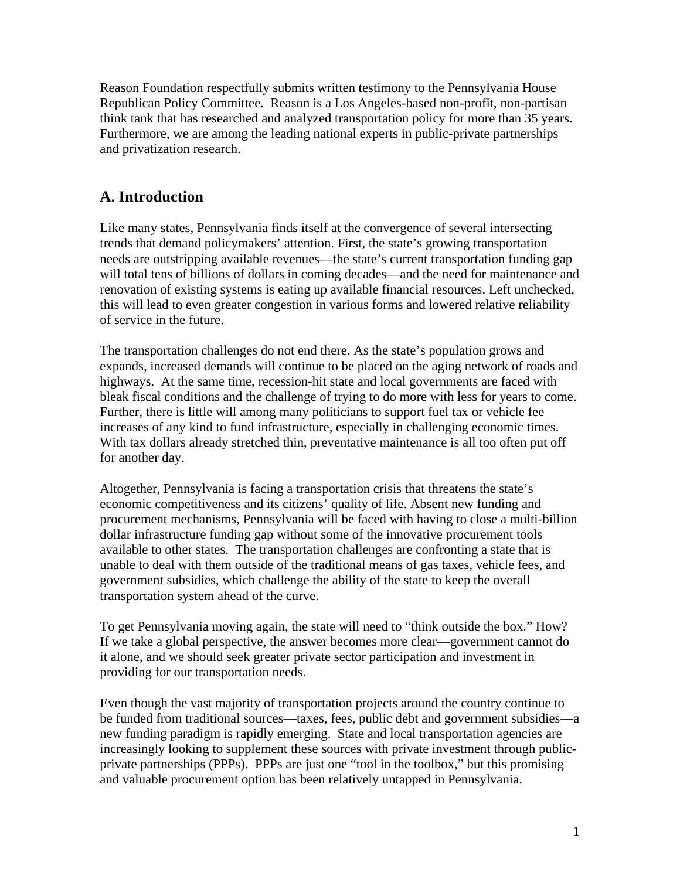Reason Foundation respectfully submits written testimony to the Pennsylvania House Republican Policy Committee. Reason is a Los Angeles-based non-profit, non-partisan think tank that has researched and analyzed transportation policy for more than 35 years. Furthermore, we are among the leading national experts in public-private partnerships and privatization research.

# **A. Introduction**

Like many states, Pennsylvania finds itself at the convergence of several intersecting trends that demand policymakers' attention. First, the state's growing transportation needs are outstripping available revenues—the state's current transportation funding gap will total tens of billions of dollars in coming decades—and the need for maintenance and renovation of existing systems is eating up available financial resources. Left unchecked, this will lead to even greater congestion in various forms and lowered relative reliability of service in the future.

The transportation challenges do not end there. As the state's population grows and expands, increased demands will continue to be placed on the aging network of roads and highways. At the same time, recession-hit state and local governments are faced with bleak fiscal conditions and the challenge of trying to do more with less for years to come. Further, there is little will among many politicians to support fuel tax or vehicle fee increases of any kind to fund infrastructure, especially in challenging economic times. With tax dollars already stretched thin, preventative maintenance is all too often put off for another day.

Altogether, Pennsylvania is facing a transportation crisis that threatens the state's economic competitiveness and its citizens' quality of life. Absent new funding and procurement mechanisms, Pennsylvania will be faced with having to close a multi-billion dollar infrastructure funding gap without some of the innovative procurement tools available to other states. The transportation challenges are confronting a state that is unable to deal with them outside of the traditional means of gas taxes, vehicle fees, and government subsidies, which challenge the ability of the state to keep the overall transportation system ahead of the curve.

To get Pennsylvania moving again, the state will need to "think outside the box." How? If we take a global perspective, the answer becomes more clear—government cannot do it alone, and we should seek greater private sector participation and investment in providing for our transportation needs.

Even though the vast majority of transportation projects around the country continue to be funded from traditional sources—taxes, fees, public debt and government subsidies—a new funding paradigm is rapidly emerging. State and local transportation agencies are increasingly looking to supplement these sources with private investment through publicprivate partnerships (PPPs). PPPs are just one "tool in the toolbox," but this promising and valuable procurement option has been relatively untapped in Pennsylvania.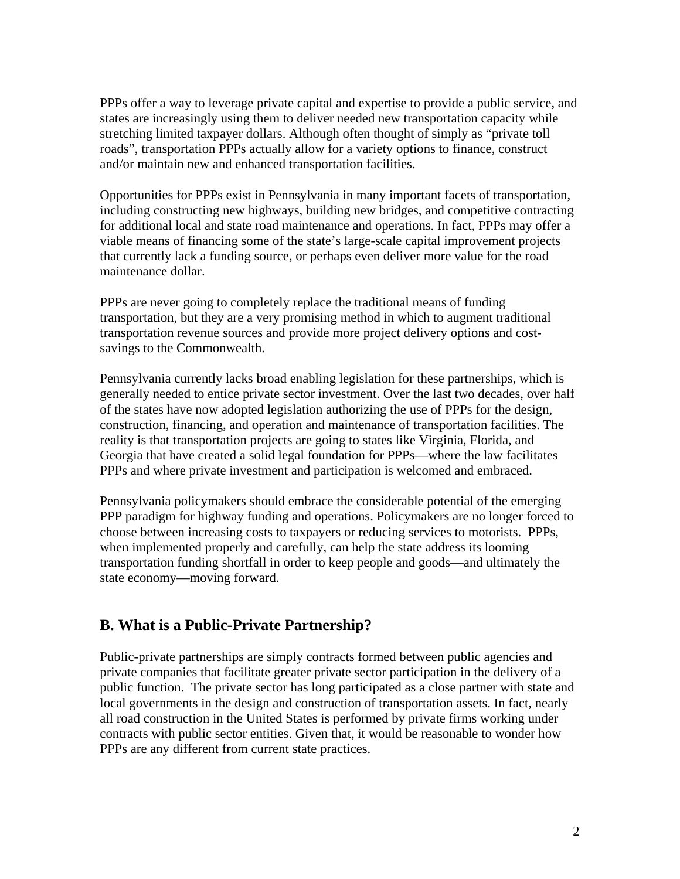PPPs offer a way to leverage private capital and expertise to provide a public service, and states are increasingly using them to deliver needed new transportation capacity while stretching limited taxpayer dollars. Although often thought of simply as "private toll roads", transportation PPPs actually allow for a variety options to finance, construct and/or maintain new and enhanced transportation facilities.

Opportunities for PPPs exist in Pennsylvania in many important facets of transportation, including constructing new highways, building new bridges, and competitive contracting for additional local and state road maintenance and operations. In fact, PPPs may offer a viable means of financing some of the state's large-scale capital improvement projects that currently lack a funding source, or perhaps even deliver more value for the road maintenance dollar.

PPPs are never going to completely replace the traditional means of funding transportation, but they are a very promising method in which to augment traditional transportation revenue sources and provide more project delivery options and costsavings to the Commonwealth.

Pennsylvania currently lacks broad enabling legislation for these partnerships, which is generally needed to entice private sector investment. Over the last two decades, over half of the states have now adopted legislation authorizing the use of PPPs for the design, construction, financing, and operation and maintenance of transportation facilities. The reality is that transportation projects are going to states like Virginia, Florida, and Georgia that have created a solid legal foundation for PPPs—where the law facilitates PPPs and where private investment and participation is welcomed and embraced.

Pennsylvania policymakers should embrace the considerable potential of the emerging PPP paradigm for highway funding and operations. Policymakers are no longer forced to choose between increasing costs to taxpayers or reducing services to motorists. PPPs, when implemented properly and carefully, can help the state address its looming transportation funding shortfall in order to keep people and goods—and ultimately the state economy—moving forward.

## **B. What is a Public-Private Partnership?**

Public-private partnerships are simply contracts formed between public agencies and private companies that facilitate greater private sector participation in the delivery of a public function. The private sector has long participated as a close partner with state and local governments in the design and construction of transportation assets. In fact, nearly all road construction in the United States is performed by private firms working under contracts with public sector entities. Given that, it would be reasonable to wonder how PPPs are any different from current state practices.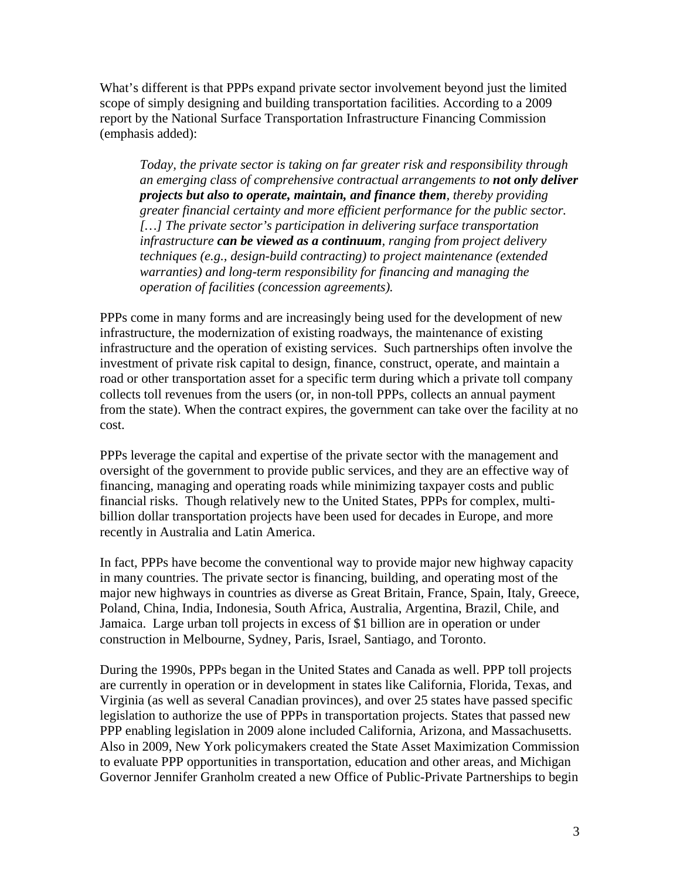What's different is that PPPs expand private sector involvement beyond just the limited scope of simply designing and building transportation facilities. According to a 2009 report by the National Surface Transportation Infrastructure Financing Commission (emphasis added):

*Today, the private sector is taking on far greater risk and responsibility through an emerging class of comprehensive contractual arrangements to not only deliver projects but also to operate, maintain, and finance them, thereby providing greater financial certainty and more efficient performance for the public sector. […] The private sector's participation in delivering surface transportation infrastructure can be viewed as a continuum, ranging from project delivery techniques (e.g., design-build contracting) to project maintenance (extended warranties) and long-term responsibility for financing and managing the operation of facilities (concession agreements).* 

PPPs come in many forms and are increasingly being used for the development of new infrastructure, the modernization of existing roadways, the maintenance of existing infrastructure and the operation of existing services. Such partnerships often involve the investment of private risk capital to design, finance, construct, operate, and maintain a road or other transportation asset for a specific term during which a private toll company collects toll revenues from the users (or, in non-toll PPPs, collects an annual payment from the state). When the contract expires, the government can take over the facility at no cost.

PPPs leverage the capital and expertise of the private sector with the management and oversight of the government to provide public services, and they are an effective way of financing, managing and operating roads while minimizing taxpayer costs and public financial risks. Though relatively new to the United States, PPPs for complex, multibillion dollar transportation projects have been used for decades in Europe, and more recently in Australia and Latin America.

In fact, PPPs have become the conventional way to provide major new highway capacity in many countries. The private sector is financing, building, and operating most of the major new highways in countries as diverse as Great Britain, France, Spain, Italy, Greece, Poland, China, India, Indonesia, South Africa, Australia, Argentina, Brazil, Chile, and Jamaica. Large urban toll projects in excess of \$1 billion are in operation or under construction in Melbourne, Sydney, Paris, Israel, Santiago, and Toronto.

During the 1990s, PPPs began in the United States and Canada as well. PPP toll projects are currently in operation or in development in states like California, Florida, Texas, and Virginia (as well as several Canadian provinces), and over 25 states have passed specific legislation to authorize the use of PPPs in transportation projects. States that passed new PPP enabling legislation in 2009 alone included California, Arizona, and Massachusetts. Also in 2009, New York policymakers created the State Asset Maximization Commission to evaluate PPP opportunities in transportation, education and other areas, and Michigan Governor Jennifer Granholm created a new Office of Public-Private Partnerships to begin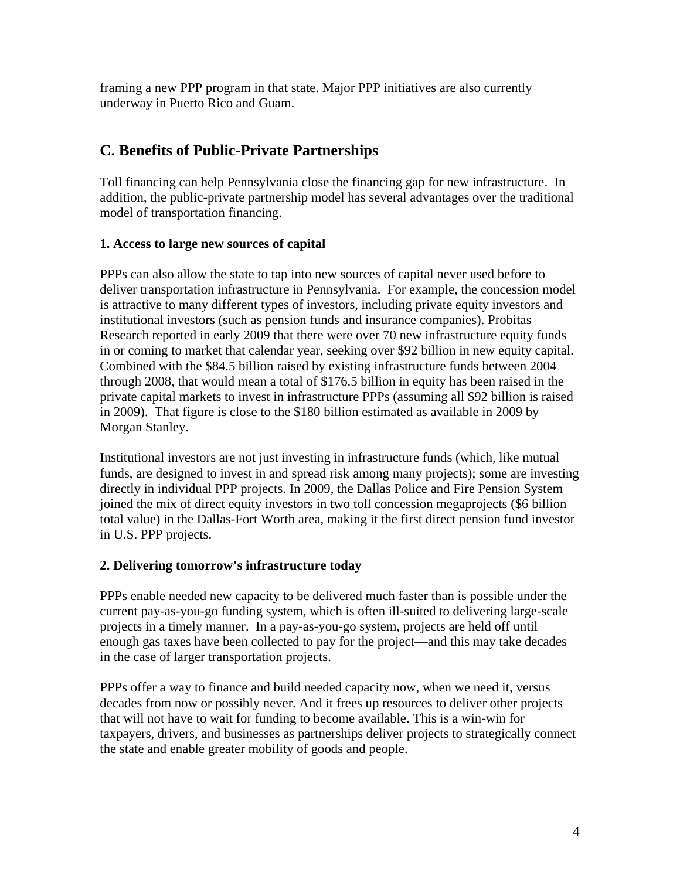framing a new PPP program in that state. Major PPP initiatives are also currently underway in Puerto Rico and Guam.

# **C. Benefits of Public-Private Partnerships**

Toll financing can help Pennsylvania close the financing gap for new infrastructure. In addition, the public-private partnership model has several advantages over the traditional model of transportation financing.

## **1. Access to large new sources of capital**

PPPs can also allow the state to tap into new sources of capital never used before to deliver transportation infrastructure in Pennsylvania. For example, the concession model is attractive to many different types of investors, including private equity investors and institutional investors (such as pension funds and insurance companies). Probitas Research reported in early 2009 that there were over 70 new infrastructure equity funds in or coming to market that calendar year, seeking over \$92 billion in new equity capital. Combined with the \$84.5 billion raised by existing infrastructure funds between 2004 through 2008, that would mean a total of \$176.5 billion in equity has been raised in the private capital markets to invest in infrastructure PPPs (assuming all \$92 billion is raised in 2009). That figure is close to the \$180 billion estimated as available in 2009 by Morgan Stanley.

Institutional investors are not just investing in infrastructure funds (which, like mutual funds, are designed to invest in and spread risk among many projects); some are investing directly in individual PPP projects. In 2009, the Dallas Police and Fire Pension System joined the mix of direct equity investors in two toll concession megaprojects (\$6 billion total value) in the Dallas-Fort Worth area, making it the first direct pension fund investor in U.S. PPP projects.

## **2. Delivering tomorrow's infrastructure today**

PPPs enable needed new capacity to be delivered much faster than is possible under the current pay-as-you-go funding system, which is often ill-suited to delivering large-scale projects in a timely manner. In a pay-as-you-go system, projects are held off until enough gas taxes have been collected to pay for the project—and this may take decades in the case of larger transportation projects.

PPPs offer a way to finance and build needed capacity now, when we need it, versus decades from now or possibly never. And it frees up resources to deliver other projects that will not have to wait for funding to become available. This is a win-win for taxpayers, drivers, and businesses as partnerships deliver projects to strategically connect the state and enable greater mobility of goods and people.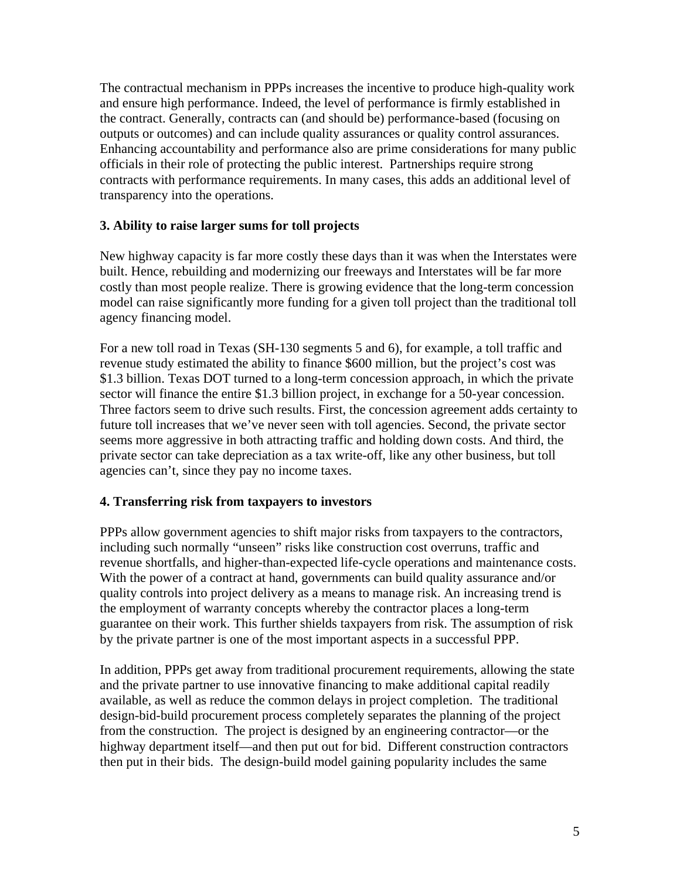The contractual mechanism in PPPs increases the incentive to produce high-quality work and ensure high performance. Indeed, the level of performance is firmly established in the contract. Generally, contracts can (and should be) performance-based (focusing on outputs or outcomes) and can include quality assurances or quality control assurances. Enhancing accountability and performance also are prime considerations for many public officials in their role of protecting the public interest. Partnerships require strong contracts with performance requirements. In many cases, this adds an additional level of transparency into the operations.

## **3. Ability to raise larger sums for toll projects**

New highway capacity is far more costly these days than it was when the Interstates were built. Hence, rebuilding and modernizing our freeways and Interstates will be far more costly than most people realize. There is growing evidence that the long-term concession model can raise significantly more funding for a given toll project than the traditional toll agency financing model.

For a new toll road in Texas (SH-130 segments 5 and 6), for example, a toll traffic and revenue study estimated the ability to finance \$600 million, but the project's cost was \$1.3 billion. Texas DOT turned to a long-term concession approach, in which the private sector will finance the entire \$1.3 billion project, in exchange for a 50-year concession. Three factors seem to drive such results. First, the concession agreement adds certainty to future toll increases that we've never seen with toll agencies. Second, the private sector seems more aggressive in both attracting traffic and holding down costs. And third, the private sector can take depreciation as a tax write-off, like any other business, but toll agencies can't, since they pay no income taxes.

#### **4. Transferring risk from taxpayers to investors**

PPPs allow government agencies to shift major risks from taxpayers to the contractors, including such normally "unseen" risks like construction cost overruns, traffic and revenue shortfalls, and higher-than-expected life-cycle operations and maintenance costs. With the power of a contract at hand, governments can build quality assurance and/or quality controls into project delivery as a means to manage risk. An increasing trend is the employment of warranty concepts whereby the contractor places a long-term guarantee on their work. This further shields taxpayers from risk. The assumption of risk by the private partner is one of the most important aspects in a successful PPP.

In addition, PPPs get away from traditional procurement requirements, allowing the state and the private partner to use innovative financing to make additional capital readily available, as well as reduce the common delays in project completion. The traditional design-bid-build procurement process completely separates the planning of the project from the construction. The project is designed by an engineering contractor—or the highway department itself—and then put out for bid. Different construction contractors then put in their bids. The design-build model gaining popularity includes the same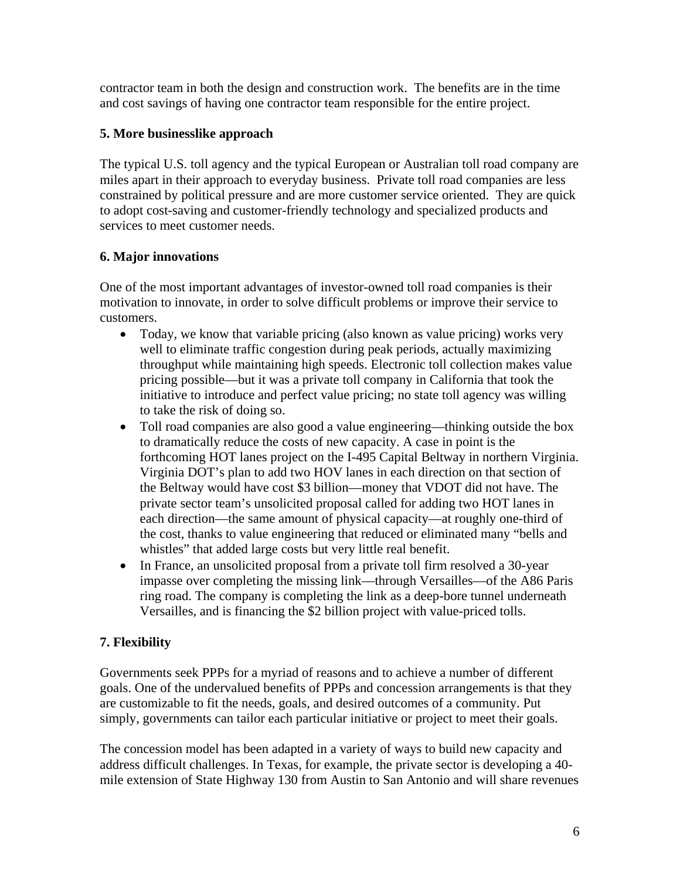contractor team in both the design and construction work. The benefits are in the time and cost savings of having one contractor team responsible for the entire project.

## **5. More businesslike approach**

The typical U.S. toll agency and the typical European or Australian toll road company are miles apart in their approach to everyday business. Private toll road companies are less constrained by political pressure and are more customer service oriented. They are quick to adopt cost-saving and customer-friendly technology and specialized products and services to meet customer needs.

## **6. Major innovations**

One of the most important advantages of investor-owned toll road companies is their motivation to innovate, in order to solve difficult problems or improve their service to customers.

- Today, we know that variable pricing (also known as value pricing) works very well to eliminate traffic congestion during peak periods, actually maximizing throughput while maintaining high speeds. Electronic toll collection makes value pricing possible—but it was a private toll company in California that took the initiative to introduce and perfect value pricing; no state toll agency was willing to take the risk of doing so.
- Toll road companies are also good a value engineering—thinking outside the box to dramatically reduce the costs of new capacity. A case in point is the forthcoming HOT lanes project on the I-495 Capital Beltway in northern Virginia. Virginia DOT's plan to add two HOV lanes in each direction on that section of the Beltway would have cost \$3 billion—money that VDOT did not have. The private sector team's unsolicited proposal called for adding two HOT lanes in each direction—the same amount of physical capacity—at roughly one-third of the cost, thanks to value engineering that reduced or eliminated many "bells and whistles" that added large costs but very little real benefit.
- In France, an unsolicited proposal from a private toll firm resolved a 30-year impasse over completing the missing link—through Versailles—of the A86 Paris ring road. The company is completing the link as a deep-bore tunnel underneath Versailles, and is financing the \$2 billion project with value-priced tolls.

## **7. Flexibility**

Governments seek PPPs for a myriad of reasons and to achieve a number of different goals. One of the undervalued benefits of PPPs and concession arrangements is that they are customizable to fit the needs, goals, and desired outcomes of a community. Put simply, governments can tailor each particular initiative or project to meet their goals.

The concession model has been adapted in a variety of ways to build new capacity and address difficult challenges. In Texas, for example, the private sector is developing a 40 mile extension of State Highway 130 from Austin to San Antonio and will share revenues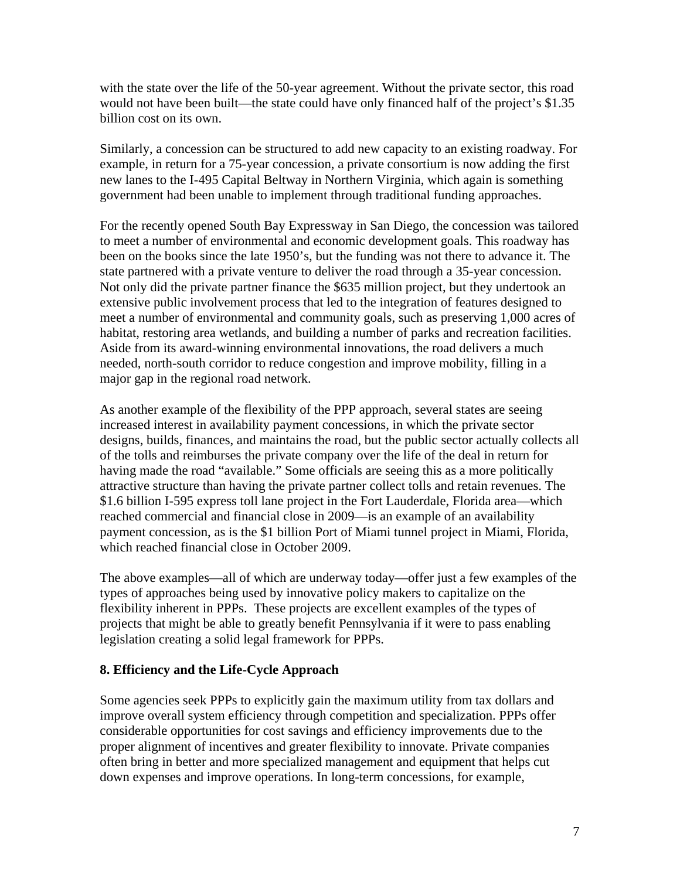with the state over the life of the 50-year agreement. Without the private sector, this road would not have been built—the state could have only financed half of the project's \$1.35 billion cost on its own.

Similarly, a concession can be structured to add new capacity to an existing roadway. For example, in return for a 75-year concession, a private consortium is now adding the first new lanes to the I-495 Capital Beltway in Northern Virginia, which again is something government had been unable to implement through traditional funding approaches.

For the recently opened South Bay Expressway in San Diego, the concession was tailored to meet a number of environmental and economic development goals. This roadway has been on the books since the late 1950's, but the funding was not there to advance it. The state partnered with a private venture to deliver the road through a 35-year concession. Not only did the private partner finance the \$635 million project, but they undertook an extensive public involvement process that led to the integration of features designed to meet a number of environmental and community goals, such as preserving 1,000 acres of habitat, restoring area wetlands, and building a number of parks and recreation facilities. Aside from its award-winning environmental innovations, the road delivers a much needed, north-south corridor to reduce congestion and improve mobility, filling in a major gap in the regional road network.

As another example of the flexibility of the PPP approach, several states are seeing increased interest in availability payment concessions, in which the private sector designs, builds, finances, and maintains the road, but the public sector actually collects all of the tolls and reimburses the private company over the life of the deal in return for having made the road "available." Some officials are seeing this as a more politically attractive structure than having the private partner collect tolls and retain revenues. The \$1.6 billion I-595 express toll lane project in the Fort Lauderdale, Florida area—which reached commercial and financial close in 2009—is an example of an availability payment concession, as is the \$1 billion Port of Miami tunnel project in Miami, Florida, which reached financial close in October 2009.

The above examples—all of which are underway today—offer just a few examples of the types of approaches being used by innovative policy makers to capitalize on the flexibility inherent in PPPs. These projects are excellent examples of the types of projects that might be able to greatly benefit Pennsylvania if it were to pass enabling legislation creating a solid legal framework for PPPs.

## **8. Efficiency and the Life-Cycle Approach**

Some agencies seek PPPs to explicitly gain the maximum utility from tax dollars and improve overall system efficiency through competition and specialization. PPPs offer considerable opportunities for cost savings and efficiency improvements due to the proper alignment of incentives and greater flexibility to innovate. Private companies often bring in better and more specialized management and equipment that helps cut down expenses and improve operations. In long-term concessions, for example,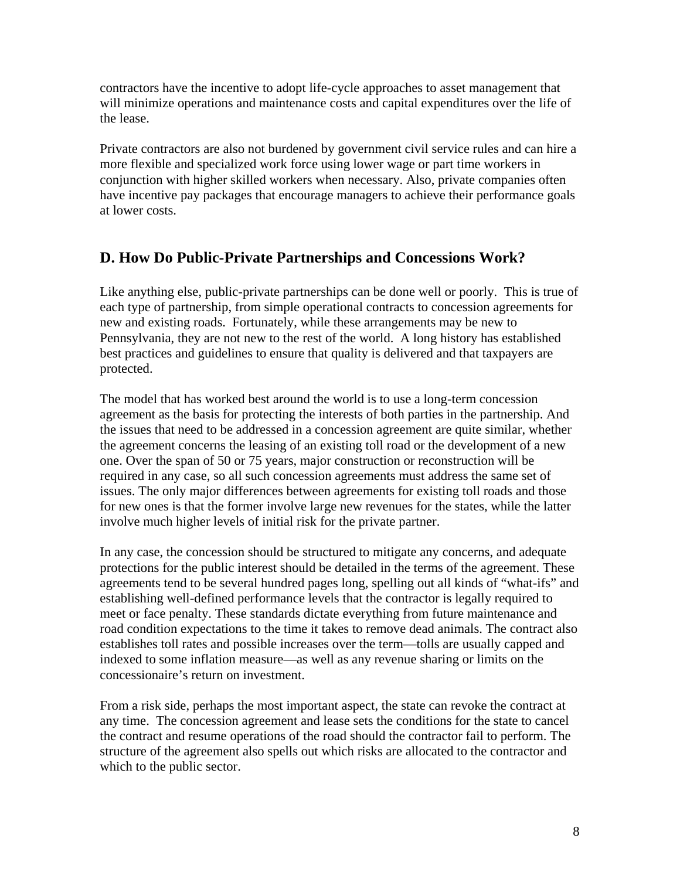contractors have the incentive to adopt life-cycle approaches to asset management that will minimize operations and maintenance costs and capital expenditures over the life of the lease.

Private contractors are also not burdened by government civil service rules and can hire a more flexible and specialized work force using lower wage or part time workers in conjunction with higher skilled workers when necessary. Also, private companies often have incentive pay packages that encourage managers to achieve their performance goals at lower costs.

# **D. How Do Public-Private Partnerships and Concessions Work?**

Like anything else, public-private partnerships can be done well or poorly. This is true of each type of partnership, from simple operational contracts to concession agreements for new and existing roads. Fortunately, while these arrangements may be new to Pennsylvania, they are not new to the rest of the world. A long history has established best practices and guidelines to ensure that quality is delivered and that taxpayers are protected.

The model that has worked best around the world is to use a long-term concession agreement as the basis for protecting the interests of both parties in the partnership. And the issues that need to be addressed in a concession agreement are quite similar, whether the agreement concerns the leasing of an existing toll road or the development of a new one. Over the span of 50 or 75 years, major construction or reconstruction will be required in any case, so all such concession agreements must address the same set of issues. The only major differences between agreements for existing toll roads and those for new ones is that the former involve large new revenues for the states, while the latter involve much higher levels of initial risk for the private partner.

In any case, the concession should be structured to mitigate any concerns, and adequate protections for the public interest should be detailed in the terms of the agreement. These agreements tend to be several hundred pages long, spelling out all kinds of "what-ifs" and establishing well-defined performance levels that the contractor is legally required to meet or face penalty. These standards dictate everything from future maintenance and road condition expectations to the time it takes to remove dead animals. The contract also establishes toll rates and possible increases over the term—tolls are usually capped and indexed to some inflation measure—as well as any revenue sharing or limits on the concessionaire's return on investment.

From a risk side, perhaps the most important aspect, the state can revoke the contract at any time. The concession agreement and lease sets the conditions for the state to cancel the contract and resume operations of the road should the contractor fail to perform. The structure of the agreement also spells out which risks are allocated to the contractor and which to the public sector.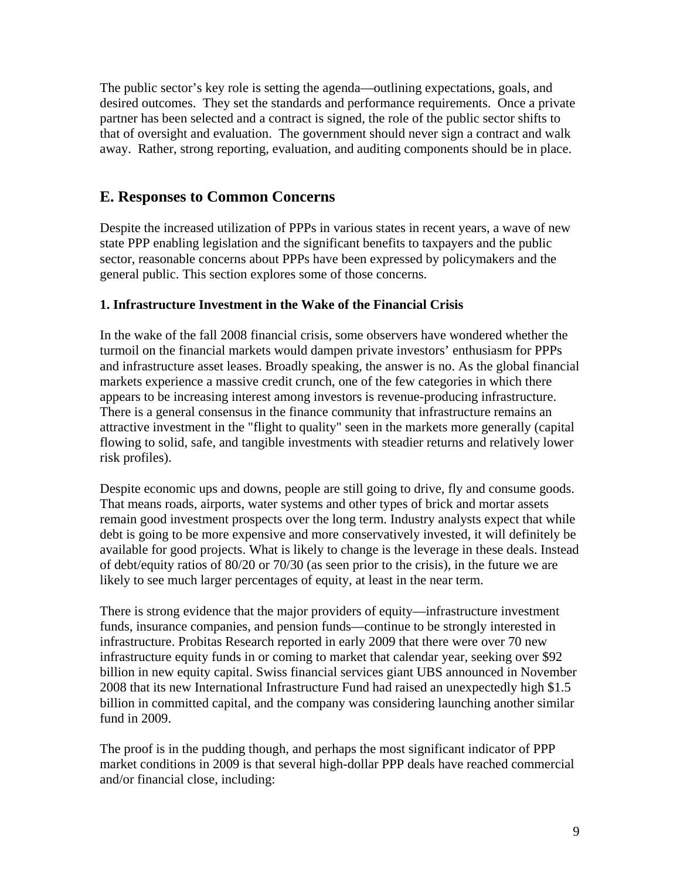The public sector's key role is setting the agenda—outlining expectations, goals, and desired outcomes. They set the standards and performance requirements. Once a private partner has been selected and a contract is signed, the role of the public sector shifts to that of oversight and evaluation. The government should never sign a contract and walk away. Rather, strong reporting, evaluation, and auditing components should be in place.

## **E. Responses to Common Concerns**

Despite the increased utilization of PPPs in various states in recent years, a wave of new state PPP enabling legislation and the significant benefits to taxpayers and the public sector, reasonable concerns about PPPs have been expressed by policymakers and the general public. This section explores some of those concerns.

## **1. Infrastructure Investment in the Wake of the Financial Crisis**

In the wake of the fall 2008 financial crisis, some observers have wondered whether the turmoil on the financial markets would dampen private investors' enthusiasm for PPPs and infrastructure asset leases. Broadly speaking, the answer is no. As the global financial markets experience a massive credit crunch, one of the few categories in which there appears to be increasing interest among investors is revenue-producing infrastructure. There is a general consensus in the finance community that infrastructure remains an attractive investment in the "flight to quality" seen in the markets more generally (capital flowing to solid, safe, and tangible investments with steadier returns and relatively lower risk profiles).

Despite economic ups and downs, people are still going to drive, fly and consume goods. That means roads, airports, water systems and other types of brick and mortar assets remain good investment prospects over the long term. Industry analysts expect that while debt is going to be more expensive and more conservatively invested, it will definitely be available for good projects. What is likely to change is the leverage in these deals. Instead of debt/equity ratios of 80/20 or 70/30 (as seen prior to the crisis), in the future we are likely to see much larger percentages of equity, at least in the near term.

There is strong evidence that the major providers of equity—infrastructure investment funds, insurance companies, and pension funds—continue to be strongly interested in infrastructure. Probitas Research reported in early 2009 that there were over 70 new infrastructure equity funds in or coming to market that calendar year, seeking over \$92 billion in new equity capital. Swiss financial services giant UBS announced in November 2008 that its new International Infrastructure Fund had raised an unexpectedly high \$1.5 billion in committed capital, and the company was considering launching another similar fund in 2009.

The proof is in the pudding though, and perhaps the most significant indicator of PPP market conditions in 2009 is that several high-dollar PPP deals have reached commercial and/or financial close, including: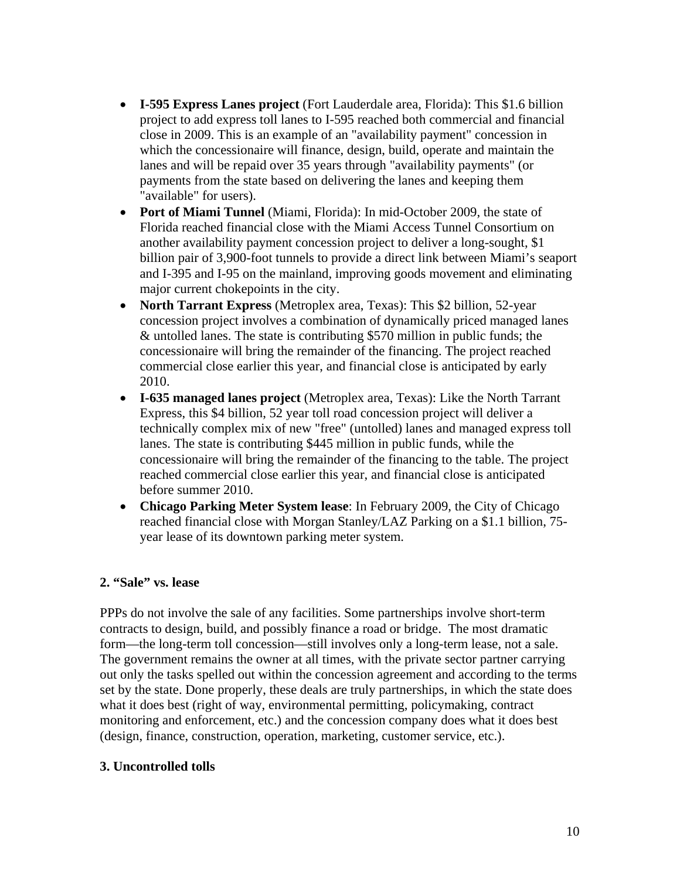- **I-595 Express Lanes project** (Fort Lauderdale area, Florida): This \$1.6 billion project to add express toll lanes to I-595 reached both commercial and financial close in 2009. This is an example of an "availability payment" concession in which the concessionaire will finance, design, build, operate and maintain the lanes and will be repaid over 35 years through "availability payments" (or payments from the state based on delivering the lanes and keeping them "available" for users).
- **Port of Miami Tunnel** (Miami, Florida): In mid-October 2009, the state of Florida reached financial close with the Miami Access Tunnel Consortium on another availability payment concession project to deliver a long-sought, \$1 billion pair of 3,900-foot tunnels to provide a direct link between Miami's seaport and I-395 and I-95 on the mainland, improving goods movement and eliminating major current chokepoints in the city.
- **North Tarrant Express** (Metroplex area, Texas): This \$2 billion, 52-year concession project involves a combination of dynamically priced managed lanes & untolled lanes. The state is contributing \$570 million in public funds; the concessionaire will bring the remainder of the financing. The project reached commercial close earlier this year, and financial close is anticipated by early 2010.
- **I-635 managed lanes project** (Metroplex area, Texas): Like the North Tarrant Express, this \$4 billion, 52 year toll road concession project will deliver a technically complex mix of new "free" (untolled) lanes and managed express toll lanes. The state is contributing \$445 million in public funds, while the concessionaire will bring the remainder of the financing to the table. The project reached commercial close earlier this year, and financial close is anticipated before summer 2010.
- **Chicago Parking Meter System lease**: In February 2009, the City of Chicago reached financial close with Morgan Stanley/LAZ Parking on a \$1.1 billion, 75 year lease of its downtown parking meter system.

## **2. "Sale" vs. lease**

PPPs do not involve the sale of any facilities. Some partnerships involve short-term contracts to design, build, and possibly finance a road or bridge. The most dramatic form—the long-term toll concession—still involves only a long-term lease, not a sale. The government remains the owner at all times, with the private sector partner carrying out only the tasks spelled out within the concession agreement and according to the terms set by the state. Done properly, these deals are truly partnerships, in which the state does what it does best (right of way, environmental permitting, policymaking, contract monitoring and enforcement, etc.) and the concession company does what it does best (design, finance, construction, operation, marketing, customer service, etc.).

## **3. Uncontrolled tolls**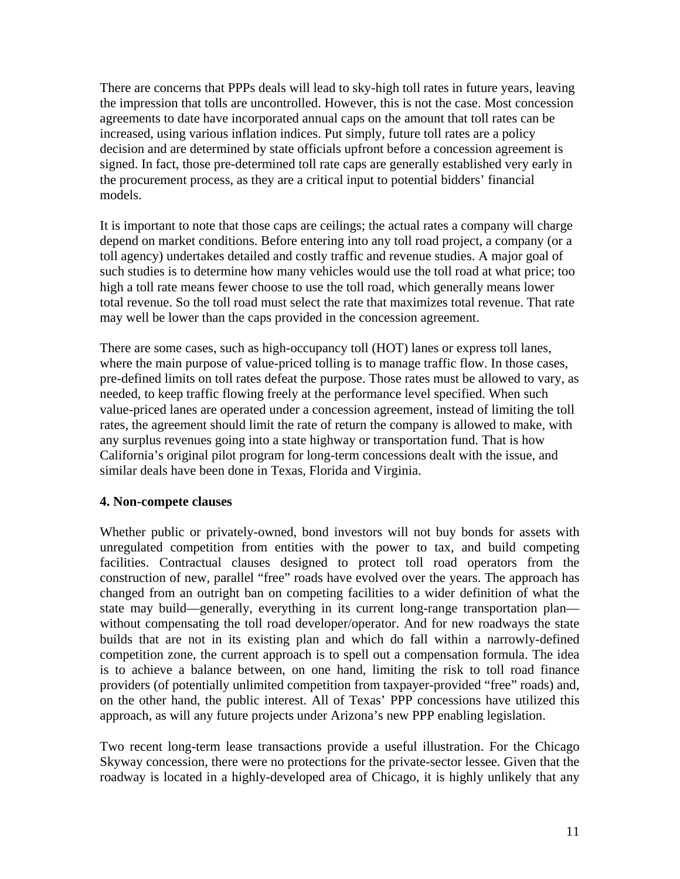There are concerns that PPPs deals will lead to sky-high toll rates in future years, leaving the impression that tolls are uncontrolled. However, this is not the case. Most concession agreements to date have incorporated annual caps on the amount that toll rates can be increased, using various inflation indices. Put simply, future toll rates are a policy decision and are determined by state officials upfront before a concession agreement is signed. In fact, those pre-determined toll rate caps are generally established very early in the procurement process, as they are a critical input to potential bidders' financial models.

It is important to note that those caps are ceilings; the actual rates a company will charge depend on market conditions. Before entering into any toll road project, a company (or a toll agency) undertakes detailed and costly traffic and revenue studies. A major goal of such studies is to determine how many vehicles would use the toll road at what price; too high a toll rate means fewer choose to use the toll road, which generally means lower total revenue. So the toll road must select the rate that maximizes total revenue. That rate may well be lower than the caps provided in the concession agreement.

There are some cases, such as high-occupancy toll (HOT) lanes or express toll lanes, where the main purpose of value-priced tolling is to manage traffic flow. In those cases, pre-defined limits on toll rates defeat the purpose. Those rates must be allowed to vary, as needed, to keep traffic flowing freely at the performance level specified. When such value-priced lanes are operated under a concession agreement, instead of limiting the toll rates, the agreement should limit the rate of return the company is allowed to make, with any surplus revenues going into a state highway or transportation fund. That is how California's original pilot program for long-term concessions dealt with the issue, and similar deals have been done in Texas, Florida and Virginia.

#### **4. Non-compete clauses**

Whether public or privately-owned, bond investors will not buy bonds for assets with unregulated competition from entities with the power to tax, and build competing facilities. Contractual clauses designed to protect toll road operators from the construction of new, parallel "free" roads have evolved over the years. The approach has changed from an outright ban on competing facilities to a wider definition of what the state may build—generally, everything in its current long-range transportation plan without compensating the toll road developer/operator. And for new roadways the state builds that are not in its existing plan and which do fall within a narrowly-defined competition zone, the current approach is to spell out a compensation formula. The idea is to achieve a balance between, on one hand, limiting the risk to toll road finance providers (of potentially unlimited competition from taxpayer-provided "free" roads) and, on the other hand, the public interest. All of Texas' PPP concessions have utilized this approach, as will any future projects under Arizona's new PPP enabling legislation.

Two recent long-term lease transactions provide a useful illustration. For the Chicago Skyway concession, there were no protections for the private-sector lessee. Given that the roadway is located in a highly-developed area of Chicago, it is highly unlikely that any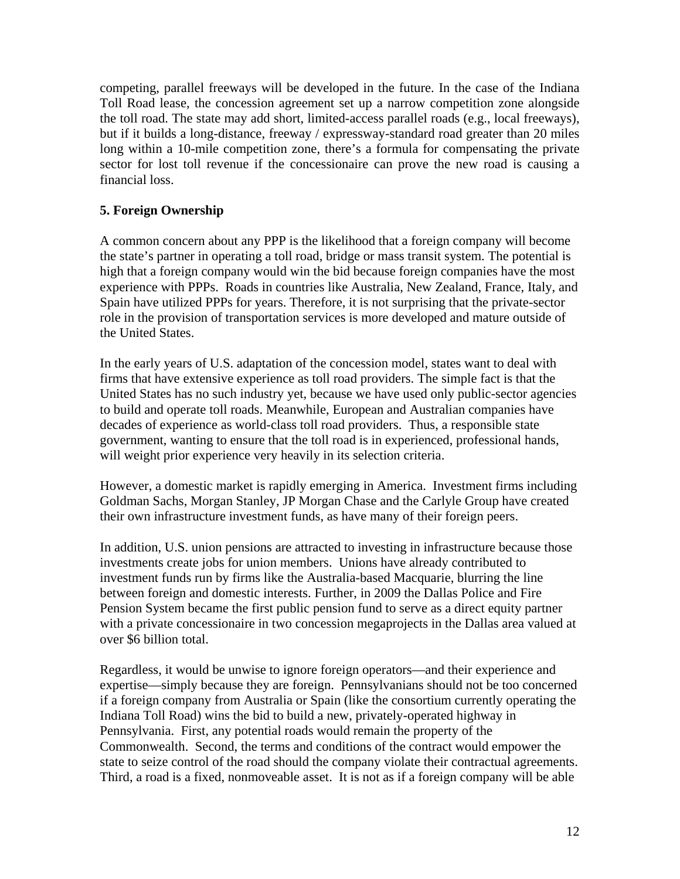competing, parallel freeways will be developed in the future. In the case of the Indiana Toll Road lease, the concession agreement set up a narrow competition zone alongside the toll road. The state may add short, limited-access parallel roads (e.g., local freeways), but if it builds a long-distance, freeway / expressway-standard road greater than 20 miles long within a 10-mile competition zone, there's a formula for compensating the private sector for lost toll revenue if the concessionaire can prove the new road is causing a financial loss.

## **5. Foreign Ownership**

A common concern about any PPP is the likelihood that a foreign company will become the state's partner in operating a toll road, bridge or mass transit system. The potential is high that a foreign company would win the bid because foreign companies have the most experience with PPPs. Roads in countries like Australia, New Zealand, France, Italy, and Spain have utilized PPPs for years. Therefore, it is not surprising that the private-sector role in the provision of transportation services is more developed and mature outside of the United States.

In the early years of U.S. adaptation of the concession model, states want to deal with firms that have extensive experience as toll road providers. The simple fact is that the United States has no such industry yet, because we have used only public-sector agencies to build and operate toll roads. Meanwhile, European and Australian companies have decades of experience as world-class toll road providers. Thus, a responsible state government, wanting to ensure that the toll road is in experienced, professional hands, will weight prior experience very heavily in its selection criteria.

However, a domestic market is rapidly emerging in America. Investment firms including Goldman Sachs, Morgan Stanley, JP Morgan Chase and the Carlyle Group have created their own infrastructure investment funds, as have many of their foreign peers.

In addition, U.S. union pensions are attracted to investing in infrastructure because those investments create jobs for union members. Unions have already contributed to investment funds run by firms like the Australia-based Macquarie, blurring the line between foreign and domestic interests. Further, in 2009 the Dallas Police and Fire Pension System became the first public pension fund to serve as a direct equity partner with a private concessionaire in two concession megaprojects in the Dallas area valued at over \$6 billion total.

Regardless, it would be unwise to ignore foreign operators—and their experience and expertise—simply because they are foreign. Pennsylvanians should not be too concerned if a foreign company from Australia or Spain (like the consortium currently operating the Indiana Toll Road) wins the bid to build a new, privately-operated highway in Pennsylvania. First, any potential roads would remain the property of the Commonwealth. Second, the terms and conditions of the contract would empower the state to seize control of the road should the company violate their contractual agreements. Third, a road is a fixed, nonmoveable asset. It is not as if a foreign company will be able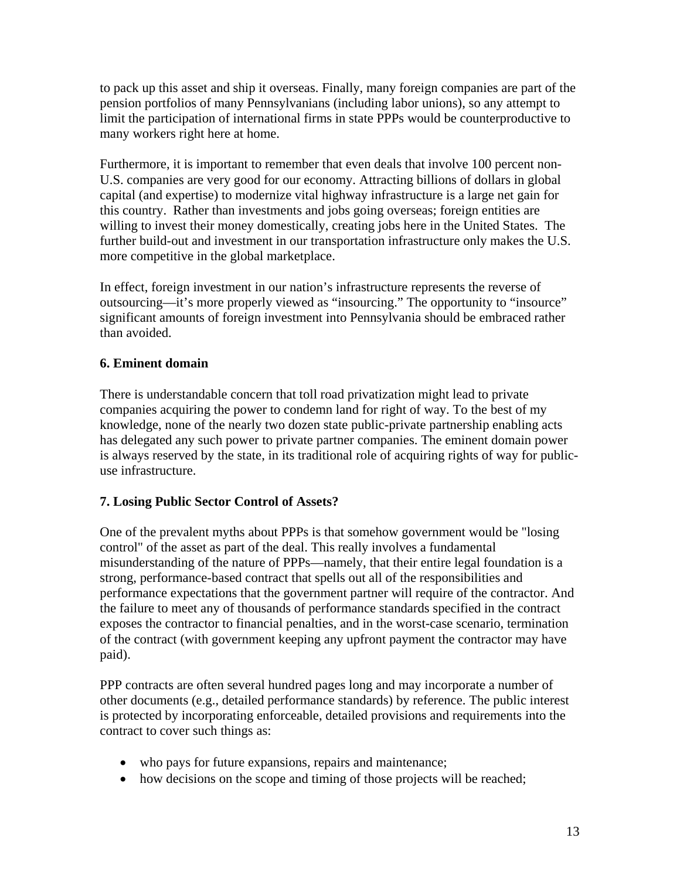to pack up this asset and ship it overseas. Finally, many foreign companies are part of the pension portfolios of many Pennsylvanians (including labor unions), so any attempt to limit the participation of international firms in state PPPs would be counterproductive to many workers right here at home.

Furthermore, it is important to remember that even deals that involve 100 percent non-U.S. companies are very good for our economy. Attracting billions of dollars in global capital (and expertise) to modernize vital highway infrastructure is a large net gain for this country. Rather than investments and jobs going overseas; foreign entities are willing to invest their money domestically, creating jobs here in the United States. The further build-out and investment in our transportation infrastructure only makes the U.S. more competitive in the global marketplace.

In effect, foreign investment in our nation's infrastructure represents the reverse of outsourcing—it's more properly viewed as "insourcing." The opportunity to "insource" significant amounts of foreign investment into Pennsylvania should be embraced rather than avoided.

## **6. Eminent domain**

There is understandable concern that toll road privatization might lead to private companies acquiring the power to condemn land for right of way. To the best of my knowledge, none of the nearly two dozen state public-private partnership enabling acts has delegated any such power to private partner companies. The eminent domain power is always reserved by the state, in its traditional role of acquiring rights of way for publicuse infrastructure.

## **7. Losing Public Sector Control of Assets?**

One of the prevalent myths about PPPs is that somehow government would be "losing control" of the asset as part of the deal. This really involves a fundamental misunderstanding of the nature of PPPs—namely, that their entire legal foundation is a strong, performance-based contract that spells out all of the responsibilities and performance expectations that the government partner will require of the contractor. And the failure to meet any of thousands of performance standards specified in the contract exposes the contractor to financial penalties, and in the worst-case scenario, termination of the contract (with government keeping any upfront payment the contractor may have paid).

PPP contracts are often several hundred pages long and may incorporate a number of other documents (e.g., detailed performance standards) by reference. The public interest is protected by incorporating enforceable, detailed provisions and requirements into the contract to cover such things as:

- who pays for future expansions, repairs and maintenance;
- how decisions on the scope and timing of those projects will be reached;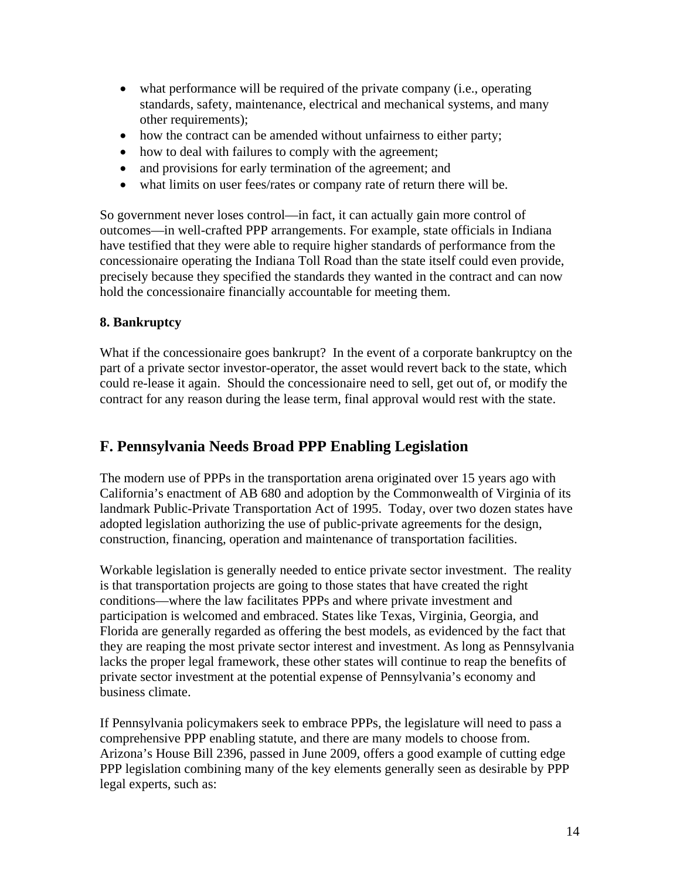- what performance will be required of the private company (i.e., operating standards, safety, maintenance, electrical and mechanical systems, and many other requirements);
- how the contract can be amended without unfairness to either party;
- how to deal with failures to comply with the agreement;
- and provisions for early termination of the agreement; and
- what limits on user fees/rates or company rate of return there will be.

So government never loses control—in fact, it can actually gain more control of outcomes—in well-crafted PPP arrangements. For example, state officials in Indiana have testified that they were able to require higher standards of performance from the concessionaire operating the Indiana Toll Road than the state itself could even provide, precisely because they specified the standards they wanted in the contract and can now hold the concessionaire financially accountable for meeting them.

#### **8. Bankruptcy**

What if the concessionaire goes bankrupt? In the event of a corporate bankruptcy on the part of a private sector investor-operator, the asset would revert back to the state, which could re-lease it again. Should the concessionaire need to sell, get out of, or modify the contract for any reason during the lease term, final approval would rest with the state.

## **F. Pennsylvania Needs Broad PPP Enabling Legislation**

The modern use of PPPs in the transportation arena originated over 15 years ago with California's enactment of AB 680 and adoption by the Commonwealth of Virginia of its landmark Public-Private Transportation Act of 1995. Today, over two dozen states have adopted legislation authorizing the use of public-private agreements for the design, construction, financing, operation and maintenance of transportation facilities.

Workable legislation is generally needed to entice private sector investment. The reality is that transportation projects are going to those states that have created the right conditions—where the law facilitates PPPs and where private investment and participation is welcomed and embraced. States like Texas, Virginia, Georgia, and Florida are generally regarded as offering the best models, as evidenced by the fact that they are reaping the most private sector interest and investment. As long as Pennsylvania lacks the proper legal framework, these other states will continue to reap the benefits of private sector investment at the potential expense of Pennsylvania's economy and business climate.

If Pennsylvania policymakers seek to embrace PPPs, the legislature will need to pass a comprehensive PPP enabling statute, and there are many models to choose from. Arizona's House Bill 2396, passed in June 2009, offers a good example of cutting edge PPP legislation combining many of the key elements generally seen as desirable by PPP legal experts, such as: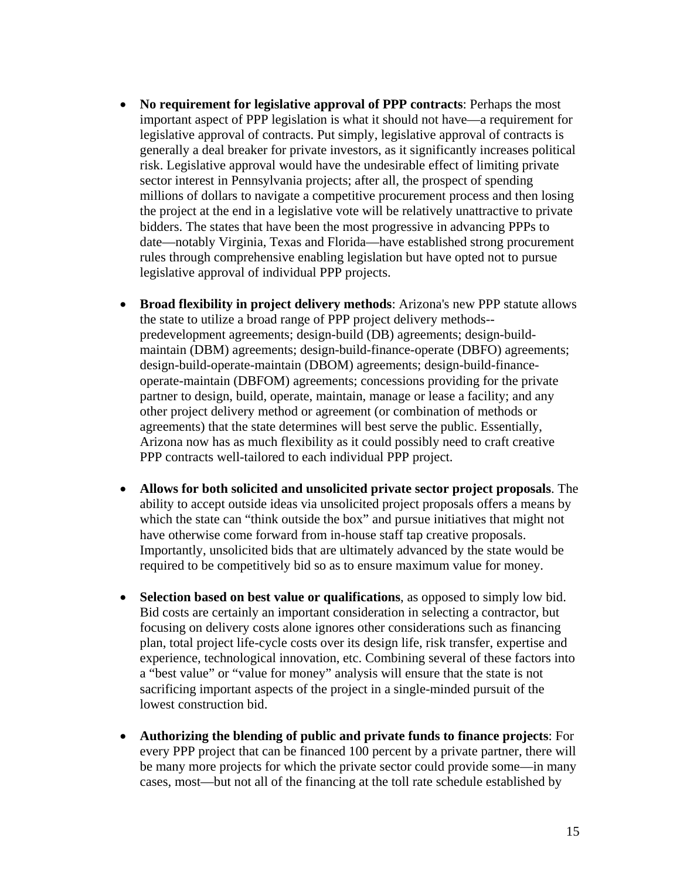- **No requirement for legislative approval of PPP contracts**: Perhaps the most important aspect of PPP legislation is what it should not have—a requirement for legislative approval of contracts. Put simply, legislative approval of contracts is generally a deal breaker for private investors, as it significantly increases political risk. Legislative approval would have the undesirable effect of limiting private sector interest in Pennsylvania projects; after all, the prospect of spending millions of dollars to navigate a competitive procurement process and then losing the project at the end in a legislative vote will be relatively unattractive to private bidders. The states that have been the most progressive in advancing PPPs to date—notably Virginia, Texas and Florida—have established strong procurement rules through comprehensive enabling legislation but have opted not to pursue legislative approval of individual PPP projects.
- **Broad flexibility in project delivery methods**: Arizona's new PPP statute allows the state to utilize a broad range of PPP project delivery methods- predevelopment agreements; design-build (DB) agreements; design-buildmaintain (DBM) agreements; design-build-finance-operate (DBFO) agreements; design-build-operate-maintain (DBOM) agreements; design-build-financeoperate-maintain (DBFOM) agreements; concessions providing for the private partner to design, build, operate, maintain, manage or lease a facility; and any other project delivery method or agreement (or combination of methods or agreements) that the state determines will best serve the public. Essentially, Arizona now has as much flexibility as it could possibly need to craft creative PPP contracts well-tailored to each individual PPP project.
- **Allows for both solicited and unsolicited private sector project proposals**. The ability to accept outside ideas via unsolicited project proposals offers a means by which the state can "think outside the box" and pursue initiatives that might not have otherwise come forward from in-house staff tap creative proposals. Importantly, unsolicited bids that are ultimately advanced by the state would be required to be competitively bid so as to ensure maximum value for money.
- **Selection based on best value or qualifications**, as opposed to simply low bid. Bid costs are certainly an important consideration in selecting a contractor, but focusing on delivery costs alone ignores other considerations such as financing plan, total project life-cycle costs over its design life, risk transfer, expertise and experience, technological innovation, etc. Combining several of these factors into a "best value" or "value for money" analysis will ensure that the state is not sacrificing important aspects of the project in a single-minded pursuit of the lowest construction bid.
- **Authorizing the blending of public and private funds to finance projects**: For every PPP project that can be financed 100 percent by a private partner, there will be many more projects for which the private sector could provide some—in many cases, most—but not all of the financing at the toll rate schedule established by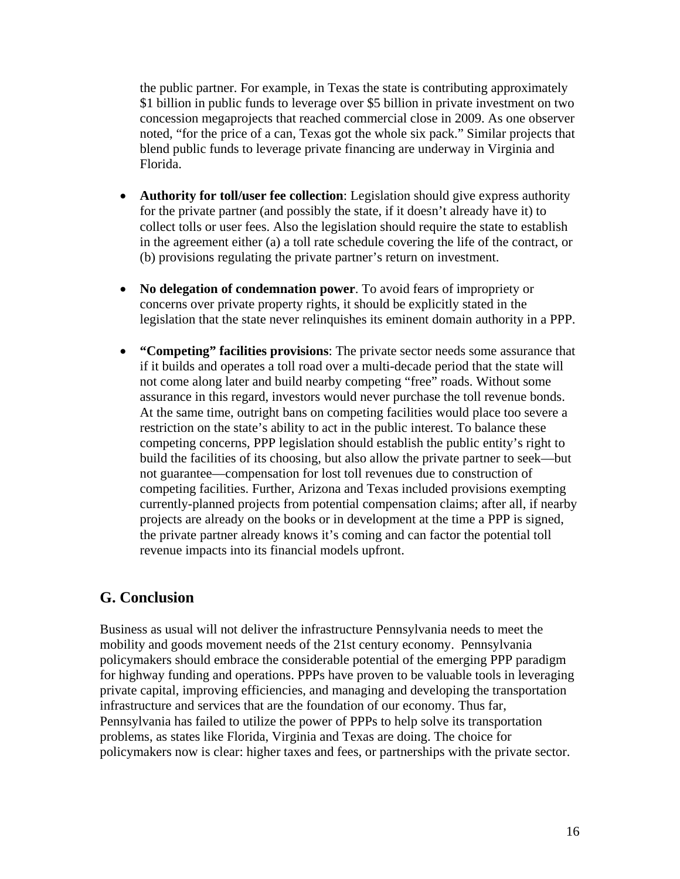the public partner. For example, in Texas the state is contributing approximately \$1 billion in public funds to leverage over \$5 billion in private investment on two concession megaprojects that reached commercial close in 2009. As one observer noted, "for the price of a can, Texas got the whole six pack." Similar projects that blend public funds to leverage private financing are underway in Virginia and Florida.

- **Authority for toll/user fee collection**: Legislation should give express authority for the private partner (and possibly the state, if it doesn't already have it) to collect tolls or user fees. Also the legislation should require the state to establish in the agreement either (a) a toll rate schedule covering the life of the contract, or (b) provisions regulating the private partner's return on investment.
- **No delegation of condemnation power**. To avoid fears of impropriety or concerns over private property rights, it should be explicitly stated in the legislation that the state never relinquishes its eminent domain authority in a PPP.
- **"Competing" facilities provisions**: The private sector needs some assurance that if it builds and operates a toll road over a multi-decade period that the state will not come along later and build nearby competing "free" roads. Without some assurance in this regard, investors would never purchase the toll revenue bonds. At the same time, outright bans on competing facilities would place too severe a restriction on the state's ability to act in the public interest. To balance these competing concerns, PPP legislation should establish the public entity's right to build the facilities of its choosing, but also allow the private partner to seek—but not guarantee—compensation for lost toll revenues due to construction of competing facilities. Further, Arizona and Texas included provisions exempting currently-planned projects from potential compensation claims; after all, if nearby projects are already on the books or in development at the time a PPP is signed, the private partner already knows it's coming and can factor the potential toll revenue impacts into its financial models upfront.

## **G. Conclusion**

Business as usual will not deliver the infrastructure Pennsylvania needs to meet the mobility and goods movement needs of the 21st century economy. Pennsylvania policymakers should embrace the considerable potential of the emerging PPP paradigm for highway funding and operations. PPPs have proven to be valuable tools in leveraging private capital, improving efficiencies, and managing and developing the transportation infrastructure and services that are the foundation of our economy. Thus far, Pennsylvania has failed to utilize the power of PPPs to help solve its transportation problems, as states like Florida, Virginia and Texas are doing. The choice for policymakers now is clear: higher taxes and fees, or partnerships with the private sector.